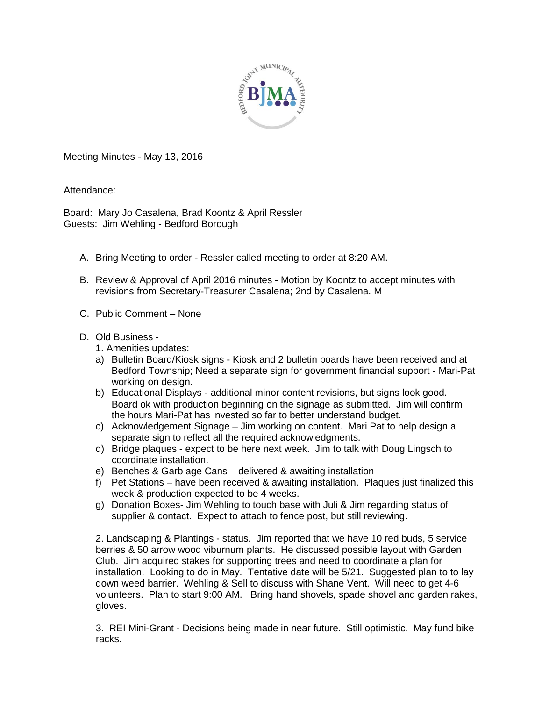

Meeting Minutes - May 13, 2016

Attendance:

Board: Mary Jo Casalena, Brad Koontz & April Ressler Guests: Jim Wehling - Bedford Borough

- A. Bring Meeting to order Ressler called meeting to order at 8:20 AM.
- B. Review & Approval of April 2016 minutes Motion by Koontz to accept minutes with revisions from Secretary-Treasurer Casalena; 2nd by Casalena. M
- C. Public Comment None
- D. Old Business
	- 1. Amenities updates:
	- a) Bulletin Board/Kiosk signs Kiosk and 2 bulletin boards have been received and at Bedford Township; Need a separate sign for government financial support - Mari-Pat working on design.
	- b) Educational Displays additional minor content revisions, but signs look good. Board ok with production beginning on the signage as submitted. Jim will confirm the hours Mari-Pat has invested so far to better understand budget.
	- c) Acknowledgement Signage Jim working on content. Mari Pat to help design a separate sign to reflect all the required acknowledgments.
	- d) Bridge plaques expect to be here next week. Jim to talk with Doug Lingsch to coordinate installation.
	- e) Benches & Garb age Cans delivered & awaiting installation
	- f) Pet Stations have been received & awaiting installation. Plaques just finalized this week & production expected to be 4 weeks.
	- g) Donation Boxes- Jim Wehling to touch base with Juli & Jim regarding status of supplier & contact. Expect to attach to fence post, but still reviewing.

2. Landscaping & Plantings - status. Jim reported that we have 10 red buds, 5 service berries & 50 arrow wood viburnum plants. He discussed possible layout with Garden Club. Jim acquired stakes for supporting trees and need to coordinate a plan for installation. Looking to do in May. Tentative date will be 5/21. Suggested plan to to lay down weed barrier. Wehling & Sell to discuss with Shane Vent. Will need to get 4-6 volunteers. Plan to start 9:00 AM. Bring hand shovels, spade shovel and garden rakes, gloves.

3. REI Mini-Grant - Decisions being made in near future. Still optimistic. May fund bike racks.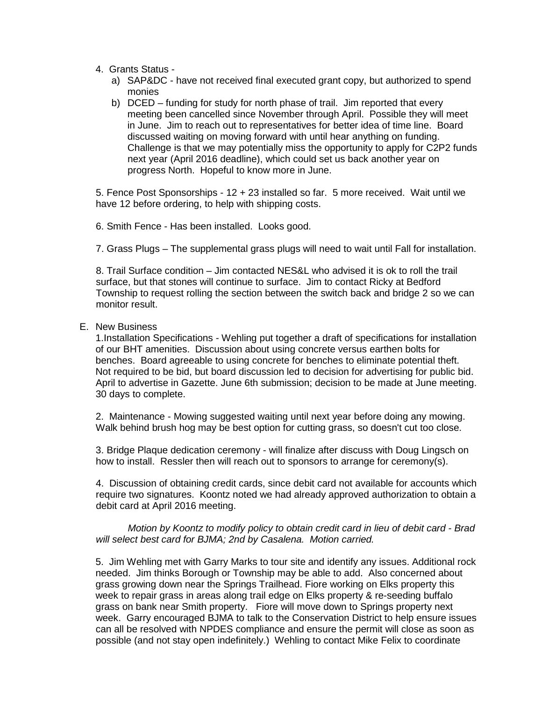- 4. Grants Status
	- a) SAP&DC have not received final executed grant copy, but authorized to spend monies
	- b) DCED funding for study for north phase of trail. Jim reported that every meeting been cancelled since November through April. Possible they will meet in June. Jim to reach out to representatives for better idea of time line. Board discussed waiting on moving forward with until hear anything on funding. Challenge is that we may potentially miss the opportunity to apply for C2P2 funds next year (April 2016 deadline), which could set us back another year on progress North. Hopeful to know more in June.

5. Fence Post Sponsorships - 12 + 23 installed so far. 5 more received. Wait until we have 12 before ordering, to help with shipping costs.

6. Smith Fence - Has been installed. Looks good.

7. Grass Plugs – The supplemental grass plugs will need to wait until Fall for installation.

8. Trail Surface condition – Jim contacted NES&L who advised it is ok to roll the trail surface, but that stones will continue to surface. Jim to contact Ricky at Bedford Township to request rolling the section between the switch back and bridge 2 so we can monitor result.

E. New Business

1.Installation Specifications - Wehling put together a draft of specifications for installation of our BHT amenities. Discussion about using concrete versus earthen bolts for benches. Board agreeable to using concrete for benches to eliminate potential theft. Not required to be bid, but board discussion led to decision for advertising for public bid. April to advertise in Gazette. June 6th submission; decision to be made at June meeting. 30 days to complete.

2. Maintenance - Mowing suggested waiting until next year before doing any mowing. Walk behind brush hog may be best option for cutting grass, so doesn't cut too close.

3. Bridge Plaque dedication ceremony - will finalize after discuss with Doug Lingsch on how to install. Ressler then will reach out to sponsors to arrange for ceremony(s).

4. Discussion of obtaining credit cards, since debit card not available for accounts which require two signatures. Koontz noted we had already approved authorization to obtain a debit card at April 2016 meeting.

*Motion by Koontz to modify policy to obtain credit card in lieu of debit card - Brad will select best card for BJMA; 2nd by Casalena. Motion carried.*

5. Jim Wehling met with Garry Marks to tour site and identify any issues. Additional rock needed. Jim thinks Borough or Township may be able to add. Also concerned about grass growing down near the Springs Trailhead. Fiore working on Elks property this week to repair grass in areas along trail edge on Elks property & re-seeding buffalo grass on bank near Smith property. Fiore will move down to Springs property next week. Garry encouraged BJMA to talk to the Conservation District to help ensure issues can all be resolved with NPDES compliance and ensure the permit will close as soon as possible (and not stay open indefinitely.) Wehling to contact Mike Felix to coordinate